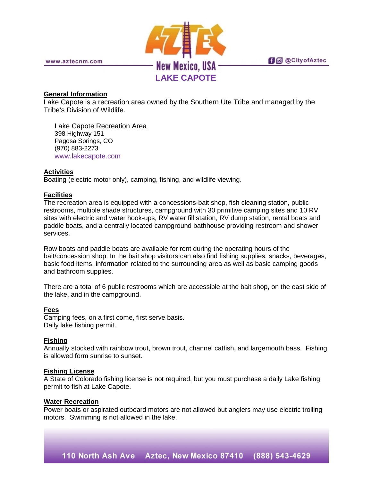

**fi** @ @ City of Aztec

www.aztecnm.com

#### **General Information**

Lake Capote is a recreation area owned by the Southern Ute Tribe and managed by the Tribe's Division of Wildlife.

Lake Capote Recreation Area 398 Highway 151 Pagosa Springs, CO (970) 883-2273 [www.lakecapote.com](http://www.lakecapote.com/)

#### **Activities**

Boating (electric motor only), camping, fishing, and wildlife viewing.

## **Facilities**

The recreation area is equipped with a concessions-bait shop, fish cleaning station, public restrooms, multiple shade structures, campground with 30 primitive camping sites and 10 RV sites with electric and water hook-ups, RV water fill station, RV dump station, rental boats and paddle boats, and a centrally located campground bathhouse providing restroom and shower services.

Row boats and paddle boats are available for rent during the operating hours of the bait/concession shop. In the bait shop visitors can also find fishing supplies, snacks, beverages, basic food items, information related to the surrounding area as well as basic camping goods and bathroom supplies.

There are a total of 6 public restrooms which are accessible at the bait shop, on the east side of the lake, and in the campground.

#### **Fees**

Camping fees, on a first come, first serve basis. Daily lake fishing permit.

# **Fishing**

Annually stocked with rainbow trout, brown trout, channel catfish, and largemouth bass. Fishing is allowed form sunrise to sunset.

## **Fishing License**

A State of Colorado fishing license is not required, but you must purchase a daily Lake fishing permit to fish at Lake Capote.

#### **Water Recreation**

Power boats or aspirated outboard motors are not allowed but anglers may use electric trolling motors. Swimming is not allowed in the lake.

110 North Ash Ave Aztec, New Mexico 87410 (888) 543-4629